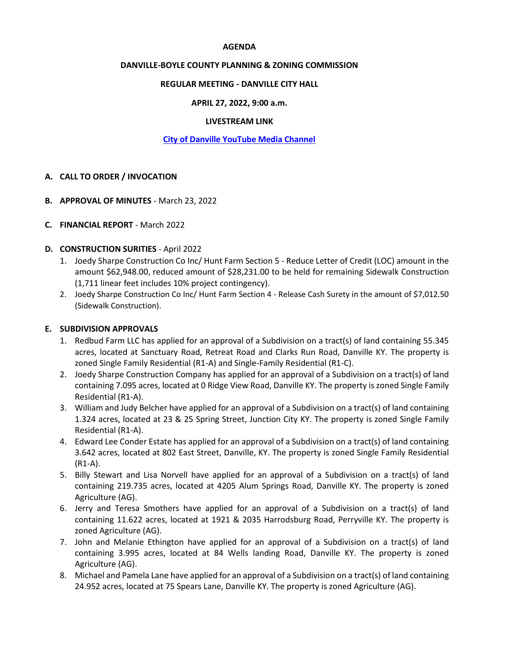#### **AGENDA**

## **DANVILLE-BOYLE COUNTY PLANNING & ZONING COMMISSION**

## **REGULAR MEETING - DANVILLE CITY HALL**

## **APRIL 27, 2022, 9:00 a.m.**

#### **LIVESTREAM LINK**

## **[City of Danville YouTube Media Channel](https://www.youtube.com/channel/UCBuznWQJHvZrva5l2GVwV9g)**

#### **A. CALL TO ORDER / INVOCATION**

- **B. APPROVAL OF MINUTES** March 23, 2022
- **C. FINANCIAL REPORT**  March 2022

#### **D. CONSTRUCTION SURITIES** - April 2022

- 1. Joedy Sharpe Construction Co Inc/ Hunt Farm Section 5 Reduce Letter of Credit (LOC) amount in the amount \$62,948.00, reduced amount of \$28,231.00 to be held for remaining Sidewalk Construction (1,711 linear feet includes 10% project contingency).
- 2. Joedy Sharpe Construction Co Inc/ Hunt Farm Section 4 Release Cash Surety in the amount of \$7,012.50 (Sidewalk Construction).

#### **E. SUBDIVISION APPROVALS**

- 1. Redbud Farm LLC has applied for an approval of a Subdivision on a tract(s) of land containing 55.345 acres, located at Sanctuary Road, Retreat Road and Clarks Run Road, Danville KY. The property is zoned Single Family Residential (R1-A) and Single-Family Residential (R1-C).
- 2. Joedy Sharpe Construction Company has applied for an approval of a Subdivision on a tract(s) of land containing 7.095 acres, located at 0 Ridge View Road, Danville KY. The property is zoned Single Family Residential (R1-A).
- 3. William and Judy Belcher have applied for an approval of a Subdivision on a tract(s) of land containing 1.324 acres, located at 23 & 25 Spring Street, Junction City KY. The property is zoned Single Family Residential (R1-A).
- 4. Edward Lee Conder Estate has applied for an approval of a Subdivision on a tract(s) of land containing 3.642 acres, located at 802 East Street, Danville, KY. The property is zoned Single Family Residential (R1-A).
- 5. Billy Stewart and Lisa Norvell have applied for an approval of a Subdivision on a tract(s) of land containing 219.735 acres, located at 4205 Alum Springs Road, Danville KY. The property is zoned Agriculture (AG).
- 6. Jerry and Teresa Smothers have applied for an approval of a Subdivision on a tract(s) of land containing 11.622 acres, located at 1921 & 2035 Harrodsburg Road, Perryville KY. The property is zoned Agriculture (AG).
- 7. John and Melanie Ethington have applied for an approval of a Subdivision on a tract(s) of land containing 3.995 acres, located at 84 Wells landing Road, Danville KY. The property is zoned Agriculture (AG).
- 8. Michael and Pamela Lane have applied for an approval of a Subdivision on a tract(s) of land containing 24.952 acres, located at 75 Spears Lane, Danville KY. The property is zoned Agriculture (AG).